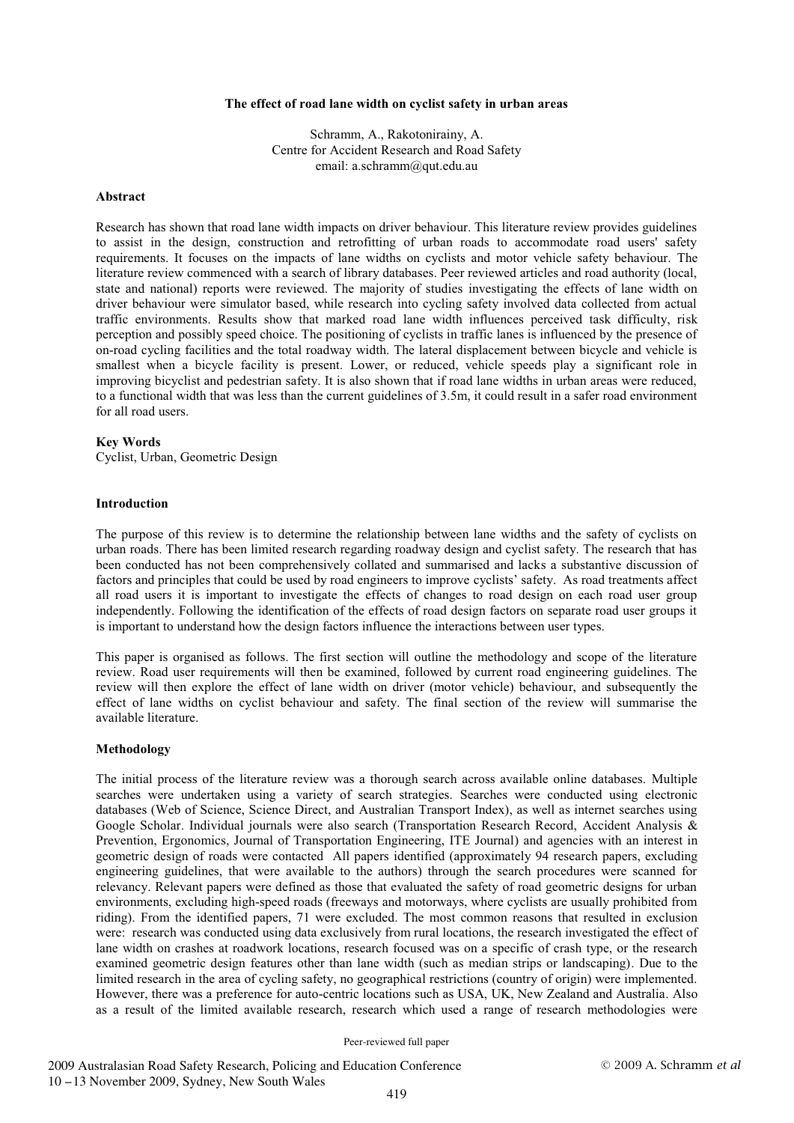#### **The effect of road lane width on cyclist safety in urban areas**

Schramm, A., Rakotonirainy, A. Centre for Accident Research and Road Safety email: a.schramm@qut.edu.au

## **Abstract**

Research has shown that road lane width impacts on driver behaviour. This literature review provides guidelines to assist in the design, construction and retrofitting of urban roads to accommodate road users' safety requirements. It focuses on the impacts of lane widths on cyclists and motor vehicle safety behaviour. The literature review commenced with a search of library databases. Peer reviewed articles and road authority (local, state and national) reports were reviewed. The majority of studies investigating the effects of lane width on driver behaviour were simulator based, while research into cycling safety involved data collected from actual traffic environments. Results show that marked road lane width influences perceived task difficulty, risk perception and possibly speed choice. The positioning of cyclists in traffic lanes is influenced by the presence of on-road cycling facilities and the total roadway width. The lateral displacement between bicycle and vehicle is smallest when a bicycle facility is present. Lower, or reduced, vehicle speeds play a significant role in improving bicyclist and pedestrian safety. It is also shown that if road lane widths in urban areas were reduced, to a functional width that was less than the current guidelines of 3.5m, it could result in a safer road environment for all road users.

#### **Key Words**

Cyclist, Urban, Geometric Design

#### **Introduction**

The purpose of this review is to determine the relationship between lane widths and the safety of cyclists on urban roads. There has been limited research regarding roadway design and cyclist safety. The research that has been conducted has not been comprehensively collated and summarised and lacks a substantive discussion of factors and principles that could be used by road engineers to improve cyclists' safety. As road treatments affect all road users it is important to investigate the effects of changes to road design on each road user group independently. Following the identification of the effects of road design factors on separate road user groups it is important to understand how the design factors influence the interactions between user types.

This paper is organised as follows. The first section will outline the methodology and scope of the literature review. Road user requirements will then be examined, followed by current road engineering guidelines. The review will then explore the effect of lane width on driver (motor vehicle) behaviour, and subsequently the effect of lane widths on cyclist behaviour and safety. The final section of the review will summarise the available literature.

#### **Methodology**

The initial process of the literature review was a thorough search across available online databases. Multiple searches were undertaken using a variety of search strategies. Searches were conducted using electronic databases (Web of Science, Science Direct, and Australian Transport Index), as well as internet searches using Google Scholar. Individual journals were also search (Transportation Research Record, Accident Analysis & Prevention, Ergonomics, Journal of Transportation Engineering, ITE Journal) and agencies with an interest in geometric design of roads were contacted All papers identified (approximately 94 research papers, excluding engineering guidelines, that were available to the authors) through the search procedures were scanned for relevancy. Relevant papers were defined as those that evaluated the safety of road geometric designs for urban environments, excluding high-speed roads (freeways and motorways, where cyclists are usually prohibited from riding). From the identified papers, 71 were excluded. The most common reasons that resulted in exclusion were: research was conducted using data exclusively from rural locations, the research investigated the effect of lane width on crashes at roadwork locations, research focused was on a specific of crash type, or the research examined geometric design features other than lane width (such as median strips or landscaping). Due to the limited research in the area of cycling safety, no geographical restrictions (country of origin) were implemented. However, there was a preference for auto-centric locations such as USA, UK, New Zealand and Australia. Also as a result of the limited available research, research which used a range of research methodologies were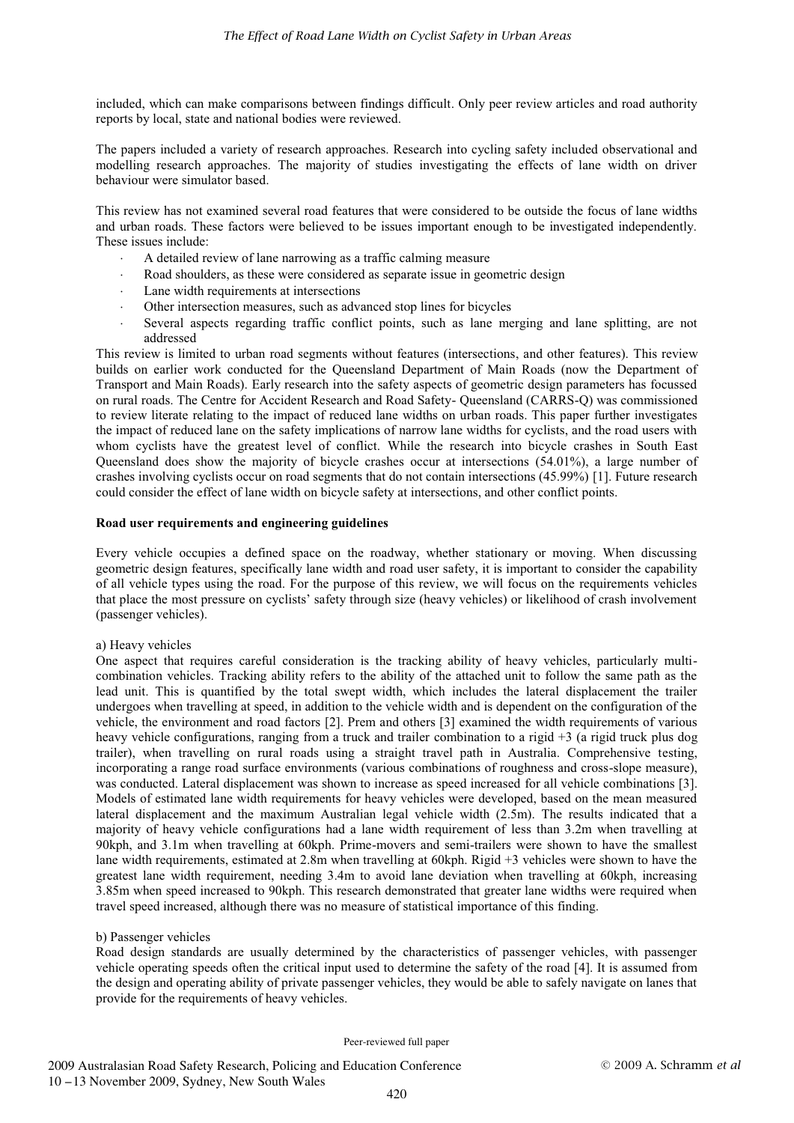included, which can make comparisons between findings difficult. Only peer review articles and road authority reports by local, state and national bodies were reviewed.

The papers included a variety of research approaches. Research into cycling safety included observational and modelling research approaches. The majority of studies investigating the effects of lane width on driver behaviour were simulator based.

This review has not examined several road features that were considered to be outside the focus of lane widths and urban roads. These factors were believed to be issues important enough to be investigated independently. These issues include:

- -A detailed review of lane narrowing as a traffic calming measure
- Road shoulders, as these were considered as separate issue in geometric design
- -Lane width requirements at intersections
- -Other intersection measures, such as advanced stop lines for bicycles
- - Several aspects regarding traffic conflict points, such as lane merging and lane splitting, are not addressed

This review is limited to urban road segments without features (intersections, and other features). This review builds on earlier work conducted for the Queensland Department of Main Roads (now the Department of Transport and Main Roads). Early research into the safety aspects of geometric design parameters has focussed on rural roads. The Centre for Accident Research and Road Safety- Queensland (CARRS-Q) was commissioned to review literate relating to the impact of reduced lane widths on urban roads. This paper further investigates the impact of reduced lane on the safety implications of narrow lane widths for cyclists, and the road users with whom cyclists have the greatest level of conflict. While the research into bicycle crashes in South East Queensland does show the majority of bicycle crashes occur at intersections (54.01%), a large number of crashes involving cyclists occur on road segments that do not contain intersections (45.99%) [1]. Future research could consider the effect of lane width on bicycle safety at intersections, and other conflict points.

## **Road user requirements and engineering guidelines**

Every vehicle occupies a defined space on the roadway, whether stationary or moving. When discussing geometric design features, specifically lane width and road user safety, it is important to consider the capability of all vehicle types using the road. For the purpose of this review, we will focus on the requirements vehicles that place the most pressure on cyclists' safety through size (heavy vehicles) or likelihood of crash involvement (passenger vehicles).

#### a) Heavy vehicles

-

One aspect that requires careful consideration is the tracking ability of heavy vehicles, particularly multicombination vehicles. Tracking ability refers to the ability of the attached unit to follow the same path as the lead unit. This is quantified by the total swept width, which includes the lateral displacement the trailer undergoes when travelling at speed, in addition to the vehicle width and is dependent on the configuration of the vehicle, the environment and road factors [2]. Prem and others [3] examined the width requirements of various heavy vehicle configurations, ranging from a truck and trailer combination to a rigid +3 (a rigid truck plus dog trailer), when travelling on rural roads using a straight travel path in Australia. Comprehensive testing, incorporating a range road surface environments (various combinations of roughness and cross-slope measure), was conducted. Lateral displacement was shown to increase as speed increased for all vehicle combinations [3]. Models of estimated lane width requirements for heavy vehicles were developed, based on the mean measured lateral displacement and the maximum Australian legal vehicle width (2.5m). The results indicated that a majority of heavy vehicle configurations had a lane width requirement of less than 3.2m when travelling at 90kph, and 3.1m when travelling at 60kph. Prime-movers and semi-trailers were shown to have the smallest lane width requirements, estimated at 2.8m when travelling at 60kph. Rigid +3 vehicles were shown to have the greatest lane width requirement, needing 3.4m to avoid lane deviation when travelling at 60kph, increasing 3.85m when speed increased to 90kph. This research demonstrated that greater lane widths were required when travel speed increased, although there was no measure of statistical importance of this finding.

#### b) Passenger vehicles

Road design standards are usually determined by the characteristics of passenger vehicles, with passenger vehicle operating speeds often the critical input used to determine the safety of the road [4]. It is assumed from the design and operating ability of private passenger vehicles, they would be able to safely navigate on lanes that provide for the requirements of heavy vehicles.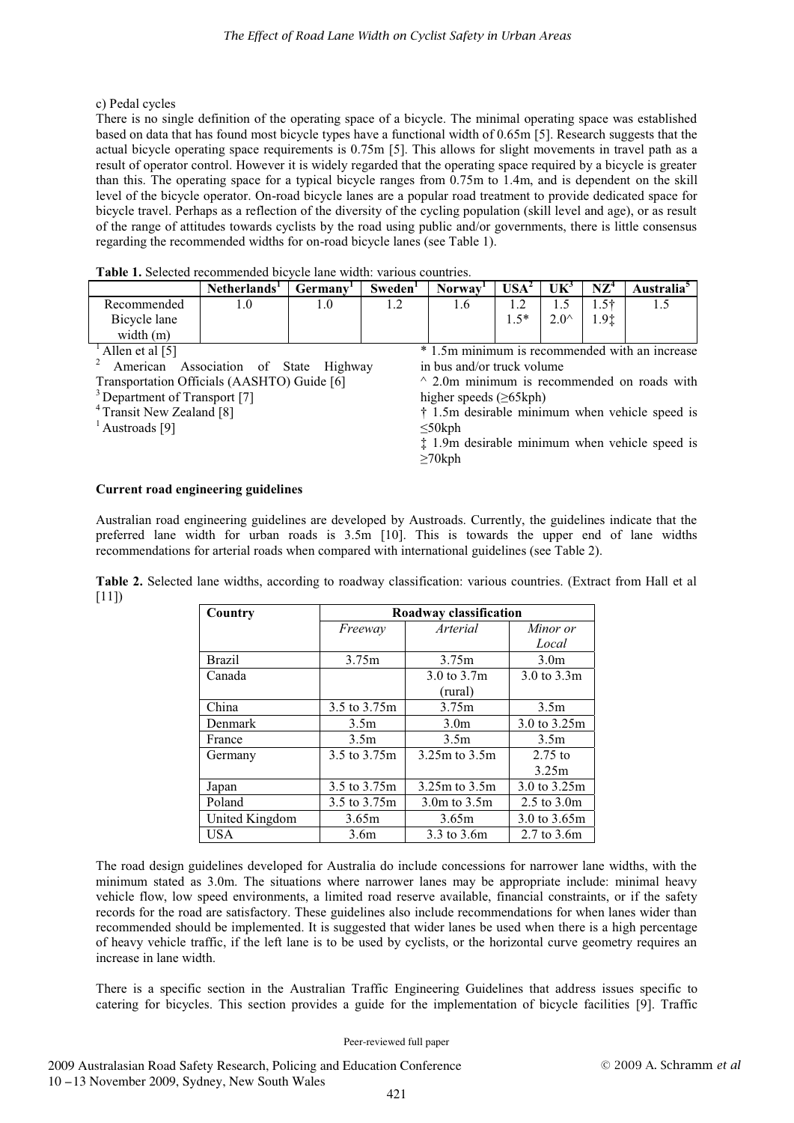# c) Pedal cycles

There is no single definition of the operating space of a bicycle. The minimal operating space was established based on data that has found most bicycle types have a functional width of 0.65m [5]. Research suggests that the actual bicycle operating space requirements is 0.75m [5]. This allows for slight movements in travel path as a result of operator control. However it is widely regarded that the operating space required by a bicycle is greater than this. The operating space for a typical bicycle ranges from 0.75m to 1.4m, and is dependent on the skill level of the bicycle operator. On-road bicycle lanes are a popular road treatment to provide dedicated space for bicycle travel. Perhaps as a reflection of the diversity of the cycling population (skill level and age), or as result of the range of attitudes towards cyclists by the road using public and/or governments, there is little consensus regarding the recommended widths for on-road bicycle lanes (see Table 1).

|  | Table 1. Selected recommended bicycle lane width: various countries. |  |  |  |
|--|----------------------------------------------------------------------|--|--|--|
|  |                                                                      |  |  |  |

| .            |                          |         |                     |                     |             |                |                 |                           |
|--------------|--------------------------|---------|---------------------|---------------------|-------------|----------------|-----------------|---------------------------|
|              | Netherlands <sup>1</sup> | Germany | Sweden <sup>1</sup> | Norway <sup>1</sup> | $USA2$      | $UK^3$         | N7 <sup>4</sup> | \ustralia <sup>&gt;</sup> |
| Recommended  | 1.U                      | 1.U     |                     | 1.0                 |             | ن              | 54              | ن .                       |
| Bicycle lane |                          |         |                     |                     | -5*<br>ر. . | $2.0^{\wedge}$ | 1.9‡            |                           |
| width $(m)$  |                          |         |                     |                     |             |                |                 |                           |

Allen et al [5]

2 American Association of State Highway Transportation Officials (AASHTO) Guide [6]

<sup>3</sup> Department of Transport [7]

<sup>4</sup> Transit New Zealand [8]

 $<sup>1</sup>$  Austroads [9]</sup>

\* 1.5m minimum is recommended with an increase in bus and/or truck volume

 $\land$  2.0m minimum is recommended on roads with higher speeds (≥65kph)

† 1.5m desirable minimum when vehicle speed is ≤50kph

‡ 1.9m desirable minimum when vehicle speed is ≥70kph

# **Current road engineering guidelines**

Australian road engineering guidelines are developed by Austroads. Currently, the guidelines indicate that the preferred lane width for urban roads is 3.5m [10]. This is towards the upper end of lane widths recommendations for arterial roads when compared with international guidelines (see Table 2).

**Table 2.** Selected lane widths, according to roadway classification: various countries. (Extract from Hall et al [11])

| Country        | Roadway classification |                   |                                |  |  |  |
|----------------|------------------------|-------------------|--------------------------------|--|--|--|
|                | Freeway                | Arterial          | Minor or                       |  |  |  |
|                |                        |                   | Local                          |  |  |  |
| <b>Brazil</b>  | 3.75m                  | 3.75m             | 3.0 <sub>m</sub>               |  |  |  |
| Canada         |                        | 3.0 to 3.7m       | 3.0 to 3.3m                    |  |  |  |
|                |                        | (rural)           |                                |  |  |  |
| China          | 3.5 to 3.75m           | 3.75m             | 3.5m                           |  |  |  |
| Denmark        | 3.5 <sub>m</sub>       | 3.0 <sub>m</sub>  | 3.0 to 3.25m                   |  |  |  |
| France         | 3.5 <sub>m</sub>       | 3.5m              | 3.5m                           |  |  |  |
| Germany        | 3.5 to 3.75m           | 3.25m to 3.5m     | $2.75$ to                      |  |  |  |
|                |                        |                   | 3.25m                          |  |  |  |
| Japan          | 3.5 to 3.75m           | $3.25m$ to $3.5m$ | 3.0 to 3.25m                   |  |  |  |
| Poland         | 3.5 to 3.75m           | $3.0m$ to $3.5m$  | $2.5 \text{ to } 3.0 \text{m}$ |  |  |  |
| United Kingdom | 3.65m                  | 3.65m             | 3.0 to 3.65m                   |  |  |  |
| <b>USA</b>     | 3.6 <sub>m</sub>       | 3.3 to 3.6m       | 2.7 to 3.6m                    |  |  |  |

The road design guidelines developed for Australia do include concessions for narrower lane widths, with the minimum stated as 3.0m. The situations where narrower lanes may be appropriate include: minimal heavy vehicle flow, low speed environments, a limited road reserve available, financial constraints, or if the safety records for the road are satisfactory. These guidelines also include recommendations for when lanes wider than recommended should be implemented. It is suggested that wider lanes be used when there is a high percentage of heavy vehicle traffic, if the left lane is to be used by cyclists, or the horizontal curve geometry requires an increase in lane width.

There is a specific section in the Australian Traffic Engineering Guidelines that address issues specific to catering for bicycles. This section provides a guide for the implementation of bicycle facilities [9]. Traffic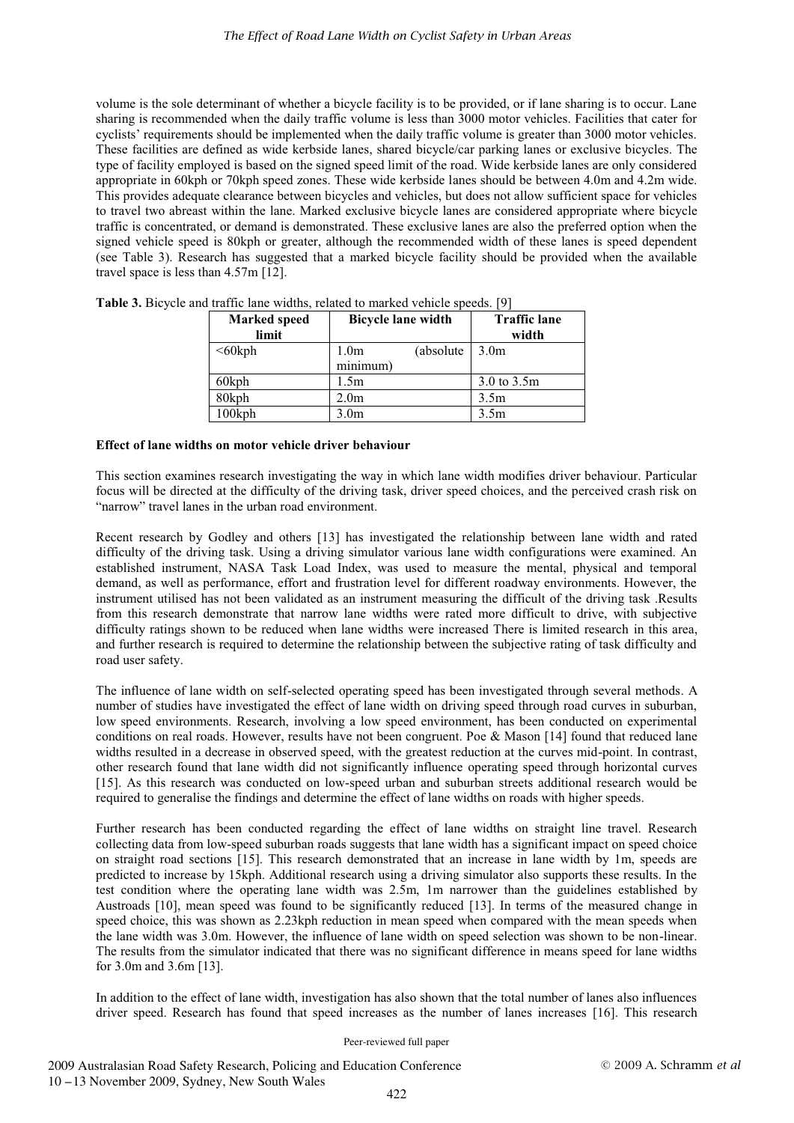volume is the sole determinant of whether a bicycle facility is to be provided, or if lane sharing is to occur. Lane sharing is recommended when the daily traffic volume is less than 3000 motor vehicles. Facilities that cater for cyclists' requirements should be implemented when the daily traffic volume is greater than 3000 motor vehicles. These facilities are defined as wide kerbside lanes, shared bicycle/car parking lanes or exclusive bicycles. The type of facility employed is based on the signed speed limit of the road. Wide kerbside lanes are only considered appropriate in 60kph or 70kph speed zones. These wide kerbside lanes should be between 4.0m and 4.2m wide. This provides adequate clearance between bicycles and vehicles, but does not allow sufficient space for vehicles to travel two abreast within the lane. Marked exclusive bicycle lanes are considered appropriate where bicycle traffic is concentrated, or demand is demonstrated. These exclusive lanes are also the preferred option when the signed vehicle speed is 80kph or greater, although the recommended width of these lanes is speed dependent (see Table 3). Research has suggested that a marked bicycle facility should be provided when the available travel space is less than 4.57m [12].

| <b>Marked</b> speed<br>limit | <b>Bicycle lane width</b>      | <b>Traffic lane</b><br>width |
|------------------------------|--------------------------------|------------------------------|
| $<60$ kph                    | (absolute)<br>1.0 <sub>m</sub> | 3.0 <sub>m</sub>             |
|                              | minimum)                       |                              |
| 60kph                        | 1.5m                           | 3.0 to 3.5m                  |
| 80kph                        | 2.0 <sub>m</sub>               | 3.5 <sub>m</sub>             |
| 100kph                       | 3.0 <sub>m</sub>               | 3.5 <sub>m</sub>             |

**Table 3.** Bicycle and traffic lane widths, related to marked vehicle speeds. [9]

#### **Effect of lane widths on motor vehicle driver behaviour**

This section examines research investigating the way in which lane width modifies driver behaviour. Particular focus will be directed at the difficulty of the driving task, driver speed choices, and the perceived crash risk on "narrow" travel lanes in the urban road environment.

Recent research by Godley and others [13] has investigated the relationship between lane width and rated difficulty of the driving task. Using a driving simulator various lane width configurations were examined. An established instrument, NASA Task Load Index, was used to measure the mental, physical and temporal demand, as well as performance, effort and frustration level for different roadway environments. However, the instrument utilised has not been validated as an instrument measuring the difficult of the driving task .Results from this research demonstrate that narrow lane widths were rated more difficult to drive, with subjective difficulty ratings shown to be reduced when lane widths were increased There is limited research in this area, and further research is required to determine the relationship between the subjective rating of task difficulty and road user safety.

The influence of lane width on self-selected operating speed has been investigated through several methods. A number of studies have investigated the effect of lane width on driving speed through road curves in suburban, low speed environments. Research, involving a low speed environment, has been conducted on experimental conditions on real roads. However, results have not been congruent. Poe & Mason [14] found that reduced lane widths resulted in a decrease in observed speed, with the greatest reduction at the curves mid-point. In contrast, other research found that lane width did not significantly influence operating speed through horizontal curves [15]. As this research was conducted on low-speed urban and suburban streets additional research would be required to generalise the findings and determine the effect of lane widths on roads with higher speeds.

Further research has been conducted regarding the effect of lane widths on straight line travel. Research collecting data from low-speed suburban roads suggests that lane width has a significant impact on speed choice on straight road sections [15]. This research demonstrated that an increase in lane width by 1m, speeds are predicted to increase by 15kph. Additional research using a driving simulator also supports these results. In the test condition where the operating lane width was 2.5m, 1m narrower than the guidelines established by Austroads [10], mean speed was found to be significantly reduced [13]. In terms of the measured change in speed choice, this was shown as 2.23kph reduction in mean speed when compared with the mean speeds when the lane width was 3.0m. However, the influence of lane width on speed selection was shown to be non-linear. The results from the simulator indicated that there was no significant difference in means speed for lane widths for 3.0m and 3.6m [13].

In addition to the effect of lane width, investigation has also shown that the total number of lanes also influences driver speed. Research has found that speed increases as the number of lanes increases [16]. This research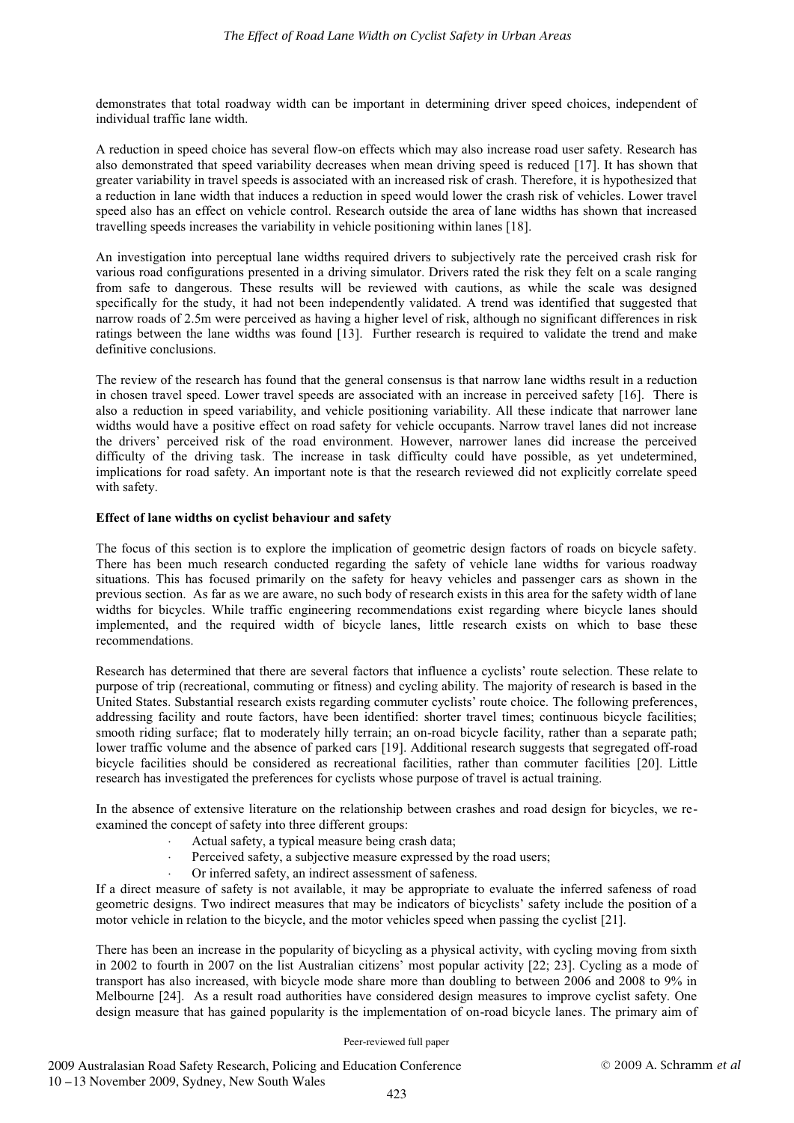demonstrates that total roadway width can be important in determining driver speed choices, independent of individual traffic lane width.

A reduction in speed choice has several flow-on effects which may also increase road user safety. Research has also demonstrated that speed variability decreases when mean driving speed is reduced [17]. It has shown that greater variability in travel speeds is associated with an increased risk of crash. Therefore, it is hypothesized that a reduction in lane width that induces a reduction in speed would lower the crash risk of vehicles. Lower travel speed also has an effect on vehicle control. Research outside the area of lane widths has shown that increased travelling speeds increases the variability in vehicle positioning within lanes [18].

An investigation into perceptual lane widths required drivers to subjectively rate the perceived crash risk for various road configurations presented in a driving simulator. Drivers rated the risk they felt on a scale ranging from safe to dangerous. These results will be reviewed with cautions, as while the scale was designed specifically for the study, it had not been independently validated. A trend was identified that suggested that narrow roads of 2.5m were perceived as having a higher level of risk, although no significant differences in risk ratings between the lane widths was found [13]. Further research is required to validate the trend and make definitive conclusions.

The review of the research has found that the general consensus is that narrow lane widths result in a reduction in chosen travel speed. Lower travel speeds are associated with an increase in perceived safety [16]. There is also a reduction in speed variability, and vehicle positioning variability. All these indicate that narrower lane widths would have a positive effect on road safety for vehicle occupants. Narrow travel lanes did not increase the drivers' perceived risk of the road environment. However, narrower lanes did increase the perceived difficulty of the driving task. The increase in task difficulty could have possible, as yet undetermined, implications for road safety. An important note is that the research reviewed did not explicitly correlate speed with safety.

## **Effect of lane widths on cyclist behaviour and safety**

The focus of this section is to explore the implication of geometric design factors of roads on bicycle safety. There has been much research conducted regarding the safety of vehicle lane widths for various roadway situations. This has focused primarily on the safety for heavy vehicles and passenger cars as shown in the previous section. As far as we are aware, no such body of research exists in this area for the safety width of lane widths for bicycles. While traffic engineering recommendations exist regarding where bicycle lanes should implemented, and the required width of bicycle lanes, little research exists on which to base these recommendations.

Research has determined that there are several factors that influence a cyclists' route selection. These relate to purpose of trip (recreational, commuting or fitness) and cycling ability. The majority of research is based in the United States. Substantial research exists regarding commuter cyclists' route choice. The following preferences, addressing facility and route factors, have been identified: shorter travel times; continuous bicycle facilities; smooth riding surface; flat to moderately hilly terrain; an on-road bicycle facility, rather than a separate path; lower traffic volume and the absence of parked cars [19]. Additional research suggests that segregated off-road bicycle facilities should be considered as recreational facilities, rather than commuter facilities [20]. Little research has investigated the preferences for cyclists whose purpose of travel is actual training.

In the absence of extensive literature on the relationship between crashes and road design for bicycles, we reexamined the concept of safety into three different groups:

- -Actual safety, a typical measure being crash data;
- -Perceived safety, a subjective measure expressed by the road users;
- -Or inferred safety, an indirect assessment of safeness.

If a direct measure of safety is not available, it may be appropriate to evaluate the inferred safeness of road geometric designs. Two indirect measures that may be indicators of bicyclists' safety include the position of a motor vehicle in relation to the bicycle, and the motor vehicles speed when passing the cyclist [21].

There has been an increase in the popularity of bicycling as a physical activity, with cycling moving from sixth in 2002 to fourth in 2007 on the list Australian citizens' most popular activity [22; 23]. Cycling as a mode of transport has also increased, with bicycle mode share more than doubling to between 2006 and 2008 to 9% in Melbourne [24]. As a result road authorities have considered design measures to improve cyclist safety. One design measure that has gained popularity is the implementation of on-road bicycle lanes. The primary aim of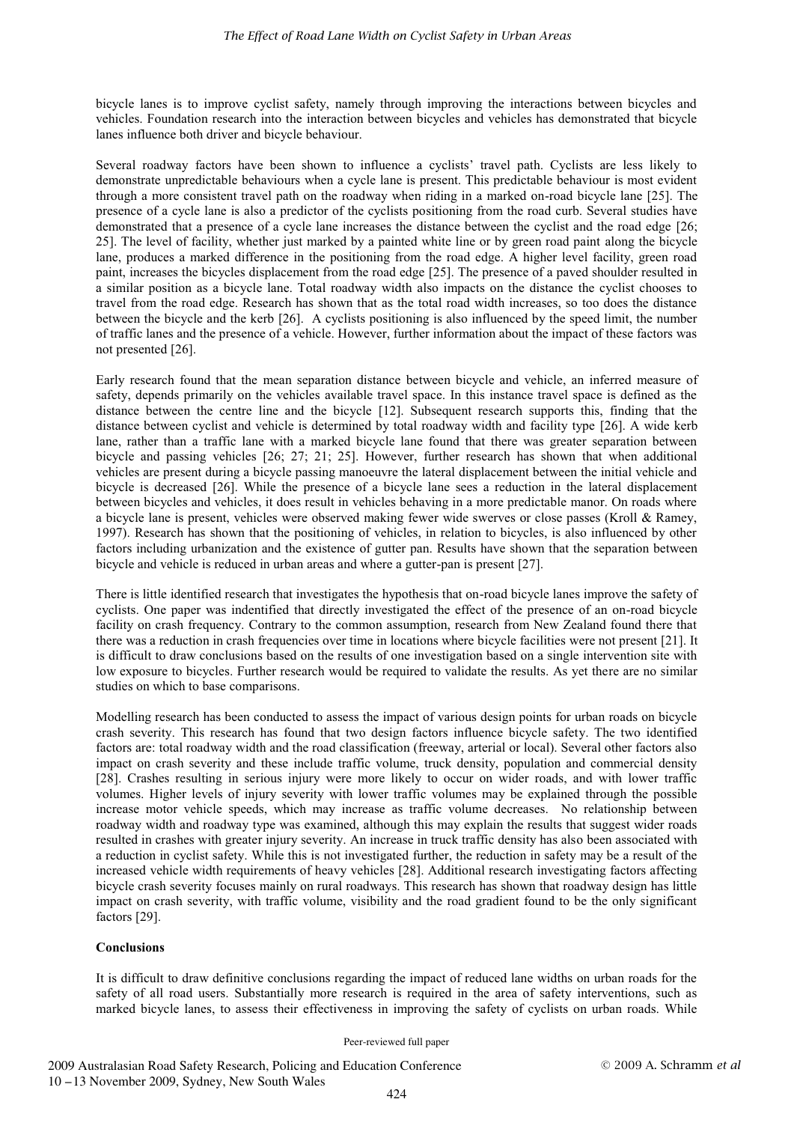bicycle lanes is to improve cyclist safety, namely through improving the interactions between bicycles and vehicles. Foundation research into the interaction between bicycles and vehicles has demonstrated that bicycle lanes influence both driver and bicycle behaviour.

Several roadway factors have been shown to influence a cyclists' travel path. Cyclists are less likely to demonstrate unpredictable behaviours when a cycle lane is present. This predictable behaviour is most evident through a more consistent travel path on the roadway when riding in a marked on-road bicycle lane [25]. The presence of a cycle lane is also a predictor of the cyclists positioning from the road curb. Several studies have demonstrated that a presence of a cycle lane increases the distance between the cyclist and the road edge [26; 25]. The level of facility, whether just marked by a painted white line or by green road paint along the bicycle lane, produces a marked difference in the positioning from the road edge. A higher level facility, green road paint, increases the bicycles displacement from the road edge [25]. The presence of a paved shoulder resulted in a similar position as a bicycle lane. Total roadway width also impacts on the distance the cyclist chooses to travel from the road edge. Research has shown that as the total road width increases, so too does the distance between the bicycle and the kerb [26]. A cyclists positioning is also influenced by the speed limit, the number of traffic lanes and the presence of a vehicle. However, further information about the impact of these factors was not presented [26].

Early research found that the mean separation distance between bicycle and vehicle, an inferred measure of safety, depends primarily on the vehicles available travel space. In this instance travel space is defined as the distance between the centre line and the bicycle [12]. Subsequent research supports this, finding that the distance between cyclist and vehicle is determined by total roadway width and facility type [26]. A wide kerb lane, rather than a traffic lane with a marked bicycle lane found that there was greater separation between bicycle and passing vehicles [26; 27; 21; 25]. However, further research has shown that when additional vehicles are present during a bicycle passing manoeuvre the lateral displacement between the initial vehicle and bicycle is decreased [26]. While the presence of a bicycle lane sees a reduction in the lateral displacement between bicycles and vehicles, it does result in vehicles behaving in a more predictable manor. On roads where a bicycle lane is present, vehicles were observed making fewer wide swerves or close passes (Kroll & Ramey, 1997). Research has shown that the positioning of vehicles, in relation to bicycles, is also influenced by other factors including urbanization and the existence of gutter pan. Results have shown that the separation between bicycle and vehicle is reduced in urban areas and where a gutter-pan is present [27].

There is little identified research that investigates the hypothesis that on-road bicycle lanes improve the safety of cyclists. One paper was indentified that directly investigated the effect of the presence of an on-road bicycle facility on crash frequency. Contrary to the common assumption, research from New Zealand found there that there was a reduction in crash frequencies over time in locations where bicycle facilities were not present [21]. It is difficult to draw conclusions based on the results of one investigation based on a single intervention site with low exposure to bicycles. Further research would be required to validate the results. As yet there are no similar studies on which to base comparisons.

Modelling research has been conducted to assess the impact of various design points for urban roads on bicycle crash severity. This research has found that two design factors influence bicycle safety. The two identified factors are: total roadway width and the road classification (freeway, arterial or local). Several other factors also impact on crash severity and these include traffic volume, truck density, population and commercial density [28]. Crashes resulting in serious injury were more likely to occur on wider roads, and with lower traffic volumes. Higher levels of injury severity with lower traffic volumes may be explained through the possible increase motor vehicle speeds, which may increase as traffic volume decreases. No relationship between roadway width and roadway type was examined, although this may explain the results that suggest wider roads resulted in crashes with greater injury severity. An increase in truck traffic density has also been associated with a reduction in cyclist safety. While this is not investigated further, the reduction in safety may be a result of the increased vehicle width requirements of heavy vehicles [28]. Additional research investigating factors affecting bicycle crash severity focuses mainly on rural roadways. This research has shown that roadway design has little impact on crash severity, with traffic volume, visibility and the road gradient found to be the only significant factors [29].

# **Conclusions**

It is difficult to draw definitive conclusions regarding the impact of reduced lane widths on urban roads for the safety of all road users. Substantially more research is required in the area of safety interventions, such as marked bicycle lanes, to assess their effectiveness in improving the safety of cyclists on urban roads. While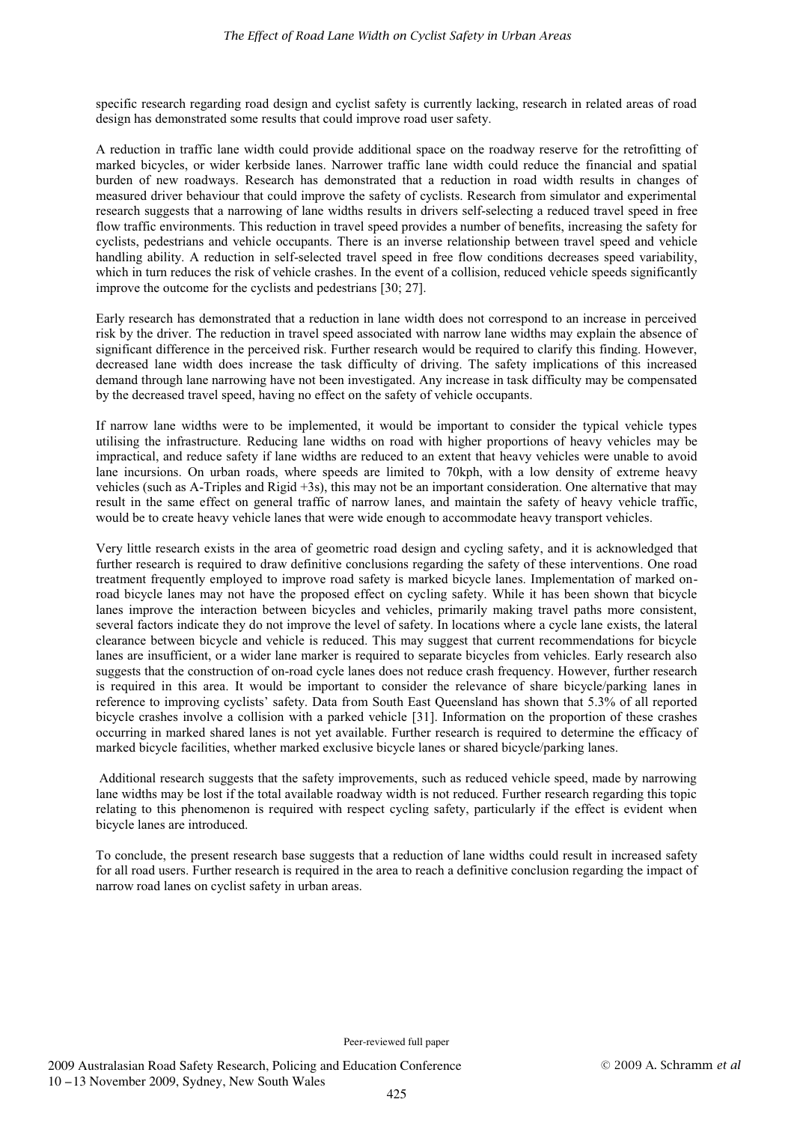specific research regarding road design and cyclist safety is currently lacking, research in related areas of road design has demonstrated some results that could improve road user safety.

A reduction in traffic lane width could provide additional space on the roadway reserve for the retrofitting of marked bicycles, or wider kerbside lanes. Narrower traffic lane width could reduce the financial and spatial burden of new roadways. Research has demonstrated that a reduction in road width results in changes of measured driver behaviour that could improve the safety of cyclists. Research from simulator and experimental research suggests that a narrowing of lane widths results in drivers self-selecting a reduced travel speed in free flow traffic environments. This reduction in travel speed provides a number of benefits, increasing the safety for cyclists, pedestrians and vehicle occupants. There is an inverse relationship between travel speed and vehicle handling ability. A reduction in self-selected travel speed in free flow conditions decreases speed variability, which in turn reduces the risk of vehicle crashes. In the event of a collision, reduced vehicle speeds significantly improve the outcome for the cyclists and pedestrians [30; 27].

Early research has demonstrated that a reduction in lane width does not correspond to an increase in perceived risk by the driver. The reduction in travel speed associated with narrow lane widths may explain the absence of significant difference in the perceived risk. Further research would be required to clarify this finding. However, decreased lane width does increase the task difficulty of driving. The safety implications of this increased demand through lane narrowing have not been investigated. Any increase in task difficulty may be compensated by the decreased travel speed, having no effect on the safety of vehicle occupants.

If narrow lane widths were to be implemented, it would be important to consider the typical vehicle types utilising the infrastructure. Reducing lane widths on road with higher proportions of heavy vehicles may be impractical, and reduce safety if lane widths are reduced to an extent that heavy vehicles were unable to avoid lane incursions. On urban roads, where speeds are limited to 70kph, with a low density of extreme heavy vehicles (such as A-Triples and Rigid +3s), this may not be an important consideration. One alternative that may result in the same effect on general traffic of narrow lanes, and maintain the safety of heavy vehicle traffic, would be to create heavy vehicle lanes that were wide enough to accommodate heavy transport vehicles.

Very little research exists in the area of geometric road design and cycling safety, and it is acknowledged that further research is required to draw definitive conclusions regarding the safety of these interventions. One road treatment frequently employed to improve road safety is marked bicycle lanes. Implementation of marked onroad bicycle lanes may not have the proposed effect on cycling safety. While it has been shown that bicycle lanes improve the interaction between bicycles and vehicles, primarily making travel paths more consistent, several factors indicate they do not improve the level of safety. In locations where a cycle lane exists, the lateral clearance between bicycle and vehicle is reduced. This may suggest that current recommendations for bicycle lanes are insufficient, or a wider lane marker is required to separate bicycles from vehicles. Early research also suggests that the construction of on-road cycle lanes does not reduce crash frequency. However, further research is required in this area. It would be important to consider the relevance of share bicycle/parking lanes in reference to improving cyclists' safety. Data from South East Queensland has shown that 5.3% of all reported bicycle crashes involve a collision with a parked vehicle [31]. Information on the proportion of these crashes occurring in marked shared lanes is not yet available. Further research is required to determine the efficacy of marked bicycle facilities, whether marked exclusive bicycle lanes or shared bicycle/parking lanes.

 Additional research suggests that the safety improvements, such as reduced vehicle speed, made by narrowing lane widths may be lost if the total available roadway width is not reduced. Further research regarding this topic relating to this phenomenon is required with respect cycling safety, particularly if the effect is evident when bicycle lanes are introduced.

To conclude, the present research base suggests that a reduction of lane widths could result in increased safety for all road users. Further research is required in the area to reach a definitive conclusion regarding the impact of narrow road lanes on cyclist safety in urban areas.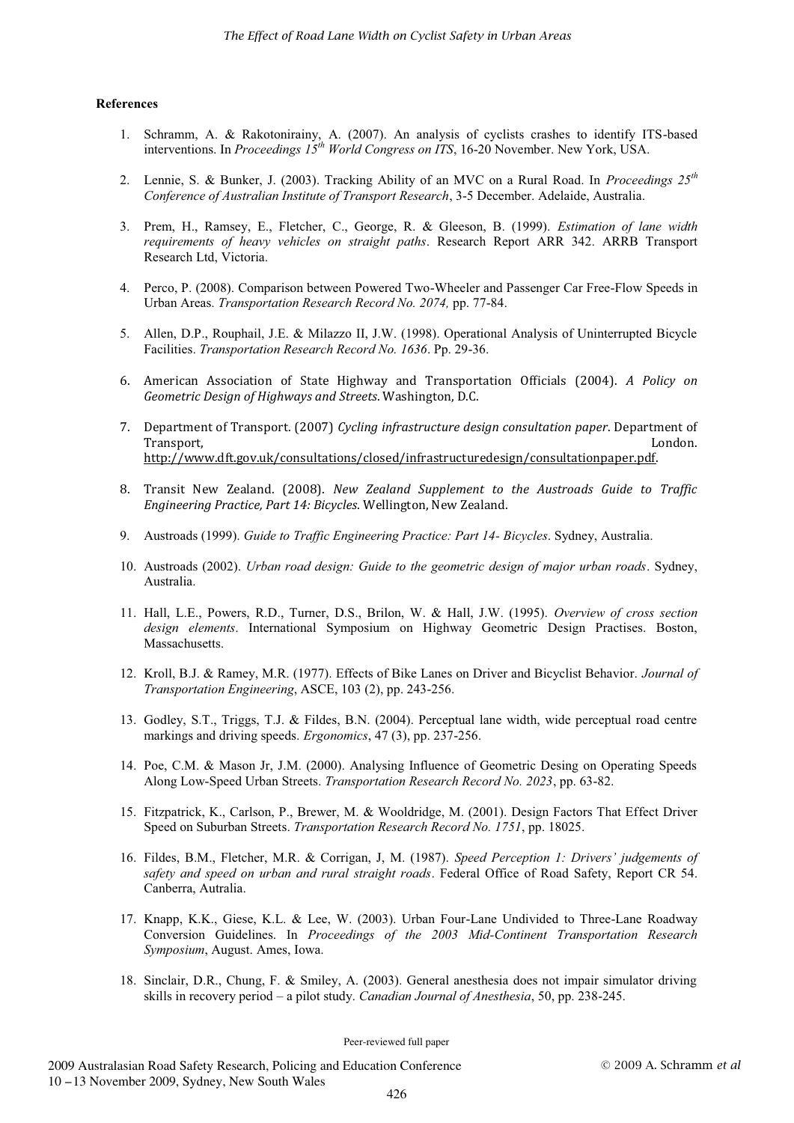#### **References**

- 1. Schramm, A. & Rakotonirainy, A. (2007). An analysis of cyclists crashes to identify ITS-based interventions. In *Proceedings 15th World Congress on ITS*, 16-20 November. New York, USA.
- 2. Lennie, S. & Bunker, J. (2003). Tracking Ability of an MVC on a Rural Road. In *Proceedings 25th Conference of Australian Institute of Transport Research*, 3-5 December. Adelaide, Australia.
- 3. Prem, H., Ramsey, E., Fletcher, C., George, R. & Gleeson, B. (1999). *Estimation of lane width requirements of heavy vehicles on straight paths*. Research Report ARR 342. ARRB Transport Research Ltd, Victoria.
- 4. Perco, P. (2008). Comparison between Powered Two-Wheeler and Passenger Car Free-Flow Speeds in Urban Areas. *Transportation Research Record No. 2074,* pp. 77-84.
- 5. Allen, D.P., Rouphail, J.E. & Milazzo II, J.W. (1998). Operational Analysis of Uninterrupted Bicycle Facilities. *Transportation Research Record No. 1636*. Pp. 29-36.
- 6. American Association of State Highway and Transportation Officials (2004). *A Policy on Geometric Design of Highways and Streets*. Washington, D.C.
- 7. Department of Transport. (2007) *Cycling infrastructure design consultation paper*. Department of Transport, London. http://www.dft.gov.uk/consultations/closed/infrastructuredesign/consultationpaper.pdf.
- 8. Transit New Zealand. (2008). *New Zealand Supplement to the Austroads Guide to Traffic Engineering Practice, Part 14: Bicycles*. Wellington, New Zealand.
- 9. Austroads (1999). *Guide to Traffic Engineering Practice: Part 14- Bicycles*. Sydney, Australia.
- 10. Austroads (2002). *Urban road design: Guide to the geometric design of major urban roads*. Sydney, Australia.
- 11. Hall, L.E., Powers, R.D., Turner, D.S., Brilon, W. & Hall, J.W. (1995). *Overview of cross section design elements*. International Symposium on Highway Geometric Design Practises. Boston, Massachusetts.
- 12. Kroll, B.J. & Ramey, M.R. (1977). Effects of Bike Lanes on Driver and Bicyclist Behavior. *Journal of Transportation Engineering*, ASCE, 103 (2), pp. 243-256.
- 13. Godley, S.T., Triggs, T.J. & Fildes, B.N. (2004). Perceptual lane width, wide perceptual road centre markings and driving speeds. *Ergonomics*, 47 (3), pp. 237-256.
- 14. Poe, C.M. & Mason Jr, J.M. (2000). Analysing Influence of Geometric Desing on Operating Speeds Along Low-Speed Urban Streets. *Transportation Research Record No. 2023*, pp. 63-82.
- 15. Fitzpatrick, K., Carlson, P., Brewer, M. & Wooldridge, M. (2001). Design Factors That Effect Driver Speed on Suburban Streets. *Transportation Research Record No. 1751*, pp. 18025.
- 16. Fildes, B.M., Fletcher, M.R. & Corrigan, J, M. (1987). *Speed Perception 1: Drivers' judgements of safety and speed on urban and rural straight roads*. Federal Office of Road Safety, Report CR 54. Canberra, Autralia.
- 17. Knapp, K.K., Giese, K.L. & Lee, W. (2003). Urban Four-Lane Undivided to Three-Lane Roadway Conversion Guidelines. In *Proceedings of the 2003 Mid-Continent Transportation Research Symposium*, August. Ames, Iowa.
- 18. Sinclair, D.R., Chung, F. & Smiley, A. (2003). General anesthesia does not impair simulator driving skills in recovery period – a pilot study. *Canadian Journal of Anesthesia*, 50, pp. 238-245.